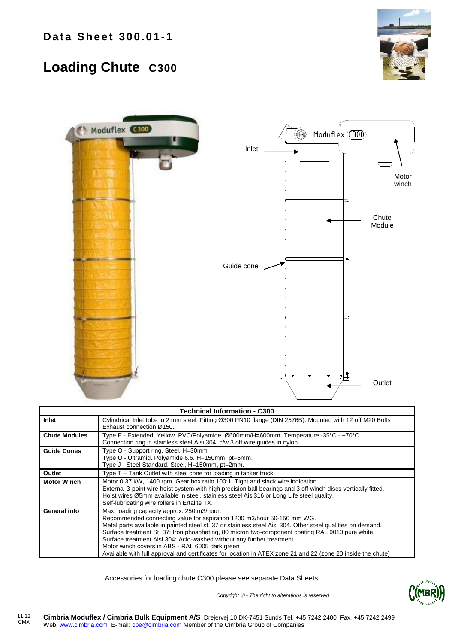## **Loading Chute C300**





| <b>Technical Information - C300</b> |                                                                                                                                                                                                                                                                                                                                                                                                                                                                                                                                                                                     |  |  |  |  |  |  |  |
|-------------------------------------|-------------------------------------------------------------------------------------------------------------------------------------------------------------------------------------------------------------------------------------------------------------------------------------------------------------------------------------------------------------------------------------------------------------------------------------------------------------------------------------------------------------------------------------------------------------------------------------|--|--|--|--|--|--|--|
| Inlet                               | Cylindrical Inlet tube in 2 mm steel. Fitting Ø300 PN10 flange (DIN 2576B). Mounted with 12 off M20 Bolts<br>Exhaust connection Ø150.                                                                                                                                                                                                                                                                                                                                                                                                                                               |  |  |  |  |  |  |  |
| <b>Chute Modules</b>                | Type E - Extended: Yellow. PVC/Polyamide. Ø600mm/H=600mm. Temperature -35°C - +70°C<br>Connection ring in stainless steel Aisi 304, c/w 3 off wire quides in nylon.                                                                                                                                                                                                                                                                                                                                                                                                                 |  |  |  |  |  |  |  |
| <b>Guide Cones</b>                  | Type O - Support ring. Steel, H=30mm<br>Type U - Ultramid. Polyamide 6.6. H=150mm, pt=6mm.<br>Type J - Steel Standard. Steel, H=150mm, pt=2mm.                                                                                                                                                                                                                                                                                                                                                                                                                                      |  |  |  |  |  |  |  |
| Outlet                              | Type T – Tank Outlet with steel cone for loading in tanker truck.                                                                                                                                                                                                                                                                                                                                                                                                                                                                                                                   |  |  |  |  |  |  |  |
| <b>Motor Winch</b>                  | Motor 0.37 kW, 1400 rpm. Gear box ratio 100:1. Tight and slack wire indication<br>External 3-point wire hoist system with high precision ball bearings and 3 off winch discs vertically fitted.<br>Hoist wires Ø5mm available in steel, stainless steel Aisi316 or Long Life steel quality.<br>Self-lubricating wire rollers in Ertalite TX.                                                                                                                                                                                                                                        |  |  |  |  |  |  |  |
| General info                        | Max. loading capacity approx. 250 m3/hour.<br>Recommended connecting value for aspiration 1200 m3/hour 50-150 mm WG.<br>Metal parts available in painted steel st. 37 or stainless steel Aisi 304. Other steel qualities on demand.<br>Surface treatment St. 37: Iron phosphating, 80 micron two-component coating RAL 9010 pure white.<br>Surface treatment Aisi 304: Acid-washed without any further treatment<br>Motor winch covers in ABS - RAL 6005 dark green<br>Available with full approval and certificates for location in ATEX zone 21 and 22 (zone 20 inside the chute) |  |  |  |  |  |  |  |

Accessories for loading chute C300 please see separate Data Sheets.



*Copyright - The right to alterations is reserved*